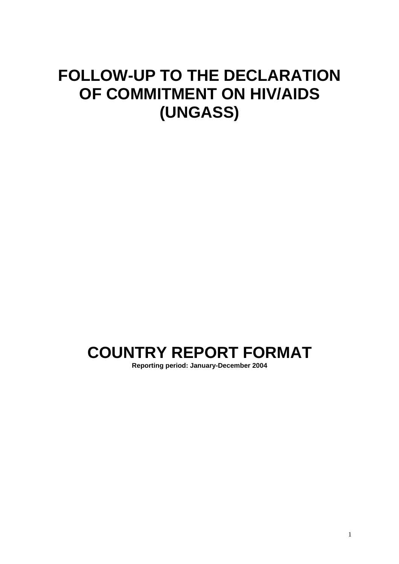# **FOLLOW-UP TO THE DECLARATION OF COMMITMENT ON HIV/AIDS (UNGASS)**

# **COUNTRY REPORT FORMAT**

**Reporting period: January-December 2004**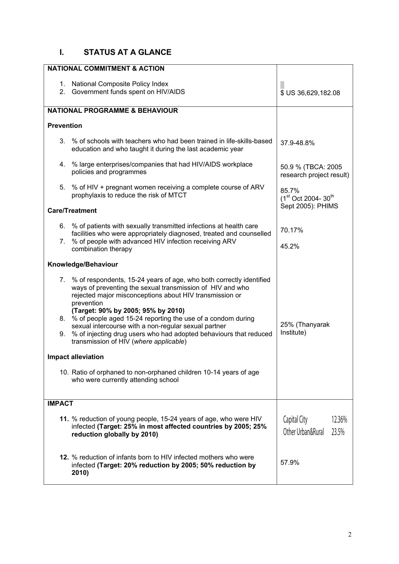### **I. STATUS AT A GLANCE**

| <b>NATIONAL COMMITMENT &amp; ACTION</b>                                                                                                                                                                                                                                                                                                                                                                                                              |                                                      |  |  |
|------------------------------------------------------------------------------------------------------------------------------------------------------------------------------------------------------------------------------------------------------------------------------------------------------------------------------------------------------------------------------------------------------------------------------------------------------|------------------------------------------------------|--|--|
| 1. National Composite Policy Index<br>2. Government funds spent on HIV/AIDS                                                                                                                                                                                                                                                                                                                                                                          | \$ US 36,629,182.08                                  |  |  |
| <b>NATIONAL PROGRAMME &amp; BEHAVIOUR</b>                                                                                                                                                                                                                                                                                                                                                                                                            |                                                      |  |  |
| <b>Prevention</b>                                                                                                                                                                                                                                                                                                                                                                                                                                    |                                                      |  |  |
| 3. % of schools with teachers who had been trained in life-skills-based<br>education and who taught it during the last academic year                                                                                                                                                                                                                                                                                                                 | 37.9-48.8%                                           |  |  |
| 4. % large enterprises/companies that had HIV/AIDS workplace<br>policies and programmes                                                                                                                                                                                                                                                                                                                                                              | 50.9 % (TBCA: 2005<br>research project result)       |  |  |
| 5. % of HIV + pregnant women receiving a complete course of ARV<br>prophylaxis to reduce the risk of MTCT                                                                                                                                                                                                                                                                                                                                            | 85.7%<br>(1 <sup>st</sup> Oct 2004-30 <sup>th</sup>  |  |  |
| <b>Care/Treatment</b>                                                                                                                                                                                                                                                                                                                                                                                                                                | Sept 2005): PHIMS                                    |  |  |
| 6. % of patients with sexually transmitted infections at health care<br>facilities who were appropriately diagnosed, treated and counselled<br>7. % of people with advanced HIV infection receiving ARV                                                                                                                                                                                                                                              | 70.17%                                               |  |  |
| combination therapy                                                                                                                                                                                                                                                                                                                                                                                                                                  | 45.2%                                                |  |  |
| Knowledge/Behaviour                                                                                                                                                                                                                                                                                                                                                                                                                                  |                                                      |  |  |
| 7. % of respondents, 15-24 years of age, who both correctly identified<br>ways of preventing the sexual transmission of HIV and who<br>rejected major misconceptions about HIV transmission or<br>prevention<br>(Target: 90% by 2005; 95% by 2010)<br>8. % of people aged 15-24 reporting the use of a condom during<br>sexual intercourse with a non-regular sexual partner<br>9. % of injecting drug users who had adopted behaviours that reduced | 25% (Thanyarak<br>Institute)                         |  |  |
| transmission of HIV (where applicable)                                                                                                                                                                                                                                                                                                                                                                                                               |                                                      |  |  |
| <b>Impact alleviation</b>                                                                                                                                                                                                                                                                                                                                                                                                                            |                                                      |  |  |
| 10. Ratio of orphaned to non-orphaned children 10-14 years of age<br>who were currently attending school                                                                                                                                                                                                                                                                                                                                             |                                                      |  |  |
| <b>IMPACT</b>                                                                                                                                                                                                                                                                                                                                                                                                                                        |                                                      |  |  |
| 11. % reduction of young people, 15-24 years of age, who were HIV<br>infected (Target: 25% in most affected countries by 2005; 25%<br>reduction globally by 2010)                                                                                                                                                                                                                                                                                    | Capital City<br>12.36%<br>Other Urban&Rural<br>23.5% |  |  |
| <b>12.</b> % reduction of infants born to HIV infected mothers who were<br>infected (Target: 20% reduction by 2005; 50% reduction by<br>2010)                                                                                                                                                                                                                                                                                                        | 57.9%                                                |  |  |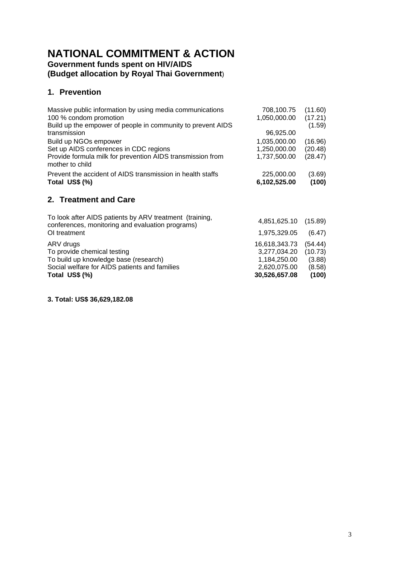# **NATIONAL COMMITMENT & ACTION**

### **Government funds spent on HIV/AIDS (Budget allocation by Royal Thai Government**)

### **1. Prevention**

| Massive public information by using media communications                      | 708,100.75   | (11.60) |
|-------------------------------------------------------------------------------|--------------|---------|
| 100 % condom promotion                                                        |              | (17.21) |
|                                                                               | 1,050,000.00 |         |
| Build up the empower of people in community to prevent AIDS                   |              | (1.59)  |
| transmission                                                                  | 96,925.00    |         |
| Build up NGOs empower                                                         | 1,035,000.00 | (16.96) |
| Set up AIDS conferences in CDC regions                                        | 1,250,000.00 | (20.48) |
| Provide formula milk for prevention AIDS transmission from<br>mother to child | 1,737,500.00 | (28.47) |
| Prevent the accident of AIDS transmission in health staffs                    | 225,000.00   | (3.69)  |
| Total US\$ (%)                                                                | 6,102,525.00 | (100)   |
| 2. Treatment and Care                                                         |              |         |

| Total US\$ (%)                                                                                              | 30,526,657.08        | (100)   |
|-------------------------------------------------------------------------------------------------------------|----------------------|---------|
| Social welfare for AIDS patients and families                                                               | 2,620,075.00         | (8.58)  |
| To build up knowledge base (research)                                                                       | 1,184,250.00         | (3.88)  |
| To provide chemical testing                                                                                 | 3,277,034.20         | (10.73) |
| ARV drugs                                                                                                   | 16,618,343.73        | (54.44) |
| OI treatment                                                                                                | 1,975,329.05         | (6.47)  |
| To look after AIDS patients by ARV treatment (training,<br>conferences, monitoring and evaluation programs) | 4,851,625.10 (15.89) |         |

**3. Total: US\$ 36,629,182.08**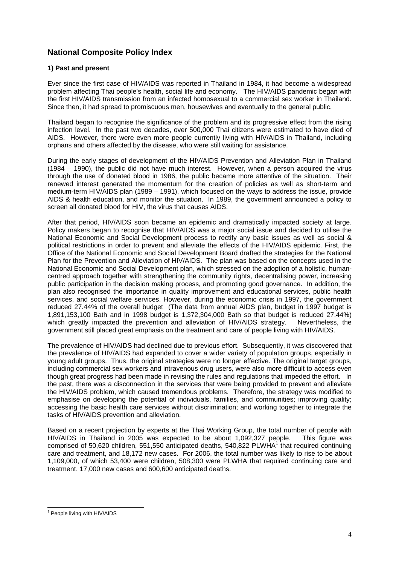#### **National Composite Policy Index**

#### **1) Past and present**

Ever since the first case of HIV/AIDS was reported in Thailand in 1984, it had become a widespread problem affecting Thai people's health, social life and economy. The HIV/AIDS pandemic began with the first HIV/AIDS transmission from an infected homosexual to a commercial sex worker in Thailand. Since then, it had spread to promiscuous men, housewives and eventually to the general public.

Thailand began to recognise the significance of the problem and its progressive effect from the rising infection level. In the past two decades, over 500,000 Thai citizens were estimated to have died of AIDS. However, there were even more people currently living with HIV/AIDS in Thailand, including orphans and others affected by the disease, who were still waiting for assistance.

During the early stages of development of the HIV/AIDS Prevention and Alleviation Plan in Thailand (1984 – 1990), the public did not have much interest. However, when a person acquired the virus through the use of donated blood in 1986, the public became more attentive of the situation. Their renewed interest generated the momentum for the creation of policies as well as short-term and medium-term HIV/AIDS plan (1989 – 1991), which focused on the ways to address the issue, provide AIDS & health education, and monitor the situation. In 1989, the government announced a policy to screen all donated blood for HIV, the virus that causes AIDS.

After that period, HIV/AIDS soon became an epidemic and dramatically impacted society at large. Policy makers began to recognise that HIV/AIDS was a major social issue and decided to utilise the National Economic and Social Development process to rectify any basic issues as well as social & political restrictions in order to prevent and alleviate the effects of the HIV/AIDS epidemic. First, the Office of the National Economic and Social Development Board drafted the strategies for the National Plan for the Prevention and Alleviation of HIV/AIDS. The plan was based on the concepts used in the National Economic and Social Development plan, which stressed on the adoption of a holistic, humancentred approach together with strengthening the community rights, decentralising power, increasing public participation in the decision making process, and promoting good governance. In addition, the plan also recognised the importance in quality improvement and educational services, public health services, and social welfare services. However, during the economic crisis in 1997, the government reduced 27.44% of the overall budget (The data from annual AIDS plan, budget in 1997 budget is 1,891,153,100 Bath and in 1998 budget is 1,372,304,000 Bath so that budget is reduced 27.44%) which greatly impacted the prevention and alleviation of HIV/AIDS strategy. Nevertheless, the government still placed great emphasis on the treatment and care of people living with HIV/AIDS.

The prevalence of HIV/AIDS had declined due to previous effort. Subsequently, it was discovered that the prevalence of HIV/AIDS had expanded to cover a wider variety of population groups, especially in young adult groups. Thus, the original strategies were no longer effective. The original target groups, including commercial sex workers and intravenous drug users, were also more difficult to access even though great progress had been made in revising the rules and regulations that impeded the effort. In the past, there was a disconnection in the services that were being provided to prevent and alleviate the HIV/AIDS problem, which caused tremendous problems. Therefore, the strategy was modified to emphasise on developing the potential of individuals, families, and communities; improving quality; accessing the basic health care services without discrimination; and working together to integrate the tasks of HIV/AIDS prevention and alleviation.

Based on a recent projection by experts at the Thai Working Group, the total number of people with HIV/AIDS in Thailand in 2005 was expected to be about 1,092,327 people. This figure was comprised of 50,620 children, 551,550 anticipated deaths, 540,822 PLWHA<sup>1</sup> that required continuing care and treatment, and 18,172 new cases. For 2006, the total number was likely to rise to be about 1,109,000, of which 53,400 were children, 508,300 were PLWHA that required continuing care and treatment, 17,000 new cases and 600,600 anticipated deaths.

<span id="page-3-0"></span>l <sup>1</sup> People living with HIV/AIDS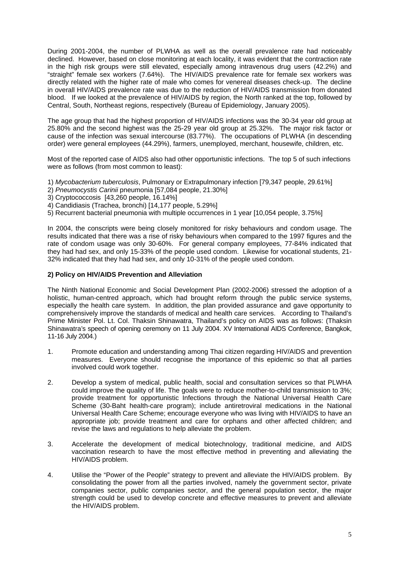During 2001-2004, the number of PLWHA as well as the overall prevalence rate had noticeably declined. However, based on close monitoring at each locality, it was evident that the contraction rate in the high risk groups were still elevated, especially among intravenous drug users (42.2%) and "straight" female sex workers (7.64%). The HIV/AIDS prevalence rate for female sex workers was directly related with the higher rate of male who comes for venereal diseases check-up. The decline in overall HIV/AIDS prevalence rate was due to the reduction of HIV/AIDS transmission from donated blood. If we looked at the prevalence of HIV/AIDS by region, the North ranked at the top, followed by Central, South, Northeast regions, respectively (Bureau of Epidemiology, January 2005).

The age group that had the highest proportion of HIV/AIDS infections was the 30-34 year old group at 25.80% and the second highest was the 25-29 year old group at 25.32%. The major risk factor or cause of the infection was sexual intercourse (83.77%). The occupations of PLWHA (in descending order) were general employees (44.29%), farmers, unemployed, merchant, housewife, children, etc.

Most of the reported case of AIDS also had other opportunistic infections. The top 5 of such infections were as follows (from most common to least):

- 1) *Mycobacterium tuberculosis*, Pulmonary or Extrapulmonary infection [79,347 people, 29.61%]
- 2) *Pneumocystis Carinii* pneumonia [57,084 people, 21.30%]
- 3) Cryptococcosis [43,260 people, 16.14%]
- 4) Candidiasis (Trachea, bronchi) [14,177 people, 5.29%]
- 5) Recurrent bacterial pneumonia with multiple occurrences in 1 year [10,054 people, 3.75%]

In 2004, the conscripts were being closely monitored for risky behaviours and condom usage. The results indicated that there was a rise of risky behaviours when compared to the 1997 figures and the rate of condom usage was only 30-60%. For general company employees, 77-84% indicated that they had had sex, and only 15-33% of the people used condom. Likewise for vocational students, 21- 32% indicated that they had had sex, and only 10-31% of the people used condom.

#### **2) Policy on HIV/AIDS Prevention and Alleviation**

The Ninth National Economic and Social Development Plan (2002-2006) stressed the adoption of a holistic, human-centred approach, which had brought reform through the public service systems, especially the health care system. In addition, the plan provided assurance and gave opportunity to comprehensively improve the standards of medical and health care services. According to Thailand's Prime Minister Pol. Lt. Col. Thaksin Shinawatra, Thailand's policy on AIDS was as follows: (Thaksin Shinawatra's speech of opening ceremony on 11 July 2004. XV International AIDS Conference, Bangkok, 11-16 July 2004.)

- 1. Promote education and understanding among Thai citizen regarding HIV/AIDS and prevention measures. Everyone should recognise the importance of this epidemic so that all parties involved could work together.
- 2. Develop a system of medical, public health, social and consultation services so that PLWHA could improve the quality of life. The goals were to reduce mother-to-child transmission to 3%; provide treatment for opportunistic Infections through the National Universal Health Care Scheme (30-Baht health-care program); include antiretroviral medications in the National Universal Health Care Scheme; encourage everyone who was living with HIV/AIDS to have an appropriate job; provide treatment and care for orphans and other affected children; and revise the laws and regulations to help alleviate the problem.
- 3. Accelerate the development of medical biotechnology, traditional medicine, and AIDS vaccination research to have the most effective method in preventing and alleviating the HIV/AIDS problem.
- 4. Utilise the "Power of the People" strategy to prevent and alleviate the HIV/AIDS problem. By consolidating the power from all the parties involved, namely the government sector, private companies sector, public companies sector, and the general population sector, the major strength could be used to develop concrete and effective measures to prevent and alleviate the HIV/AIDS problem.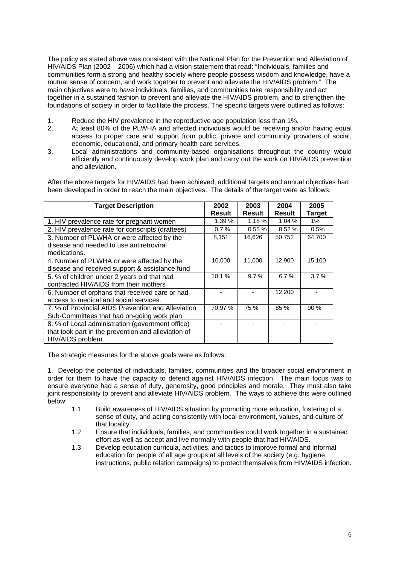The policy as stated above was consistent with the National Plan for the Prevention and Alleviation of HIV/AIDS Plan (2002 – 2006) which had a vision statement that read: "Individuals, families and communities form a strong and healthy society where people possess wisdom and knowledge, have a mutual sense of concern, and work together to prevent and alleviate the HIV/AIDS problem." The main objectives were to have individuals, families, and communities take responsibility and act together in a sustained fashion to prevent and alleviate the HIV/AIDS problem, and to strengthen the foundations of society in order to facilitate the process. The specific targets were outlined as follows:

- 1. Reduce the HIV prevalence in the reproductive age population less than 1%.
- 2. At least 80% of the PLWHA and affected individuals would be receiving and/or having equal access to proper care and support from public, private and community providers of social, economic, educational, and primary health care services.
- 3. Local administrations and community-based organisations throughout the country would efficiently and continuously develop work plan and carry out the work on HIV/AIDS prevention and alleviation.

After the above targets for HIV/AIDS had been achieved, additional targets and annual objectives had been developed in order to reach the main objectives. The details of the target were as follows:

| <b>Target Description</b>                           | 2002<br><b>Result</b> | 2003<br><b>Result</b> | 2004<br><b>Result</b> | 2005<br><b>Target</b> |
|-----------------------------------------------------|-----------------------|-----------------------|-----------------------|-----------------------|
| 1. HIV prevalence rate for pregnant women           | 1.39 %                | $1.18 \%$             | 1.04%                 | $1\%$                 |
| 2. HIV prevalence rate for conscripts (draftees)    | 0.7%                  | 0.55%                 | 0.52%                 | 0.5%                  |
| 3. Number of PLWHA or were affected by the          | 8,151                 | 16,626                | 50,752                | 64,700                |
| disease and needed to use antiretroviral            |                       |                       |                       |                       |
| medications.                                        |                       |                       |                       |                       |
| 4. Number of PLWHA or were affected by the          | 10,000                | 11,000                | 12,900                | 15,100                |
| disease and received support & assistance fund      |                       |                       |                       |                       |
| 5. % of children under 2 years old that had         | 10.1%                 | 9.7%                  | 6.7%                  | 3.7%                  |
| contracted HIV/AIDS from their mothers              |                       |                       |                       |                       |
| 6. Number of orphans that received care or had      |                       |                       | 12,200                |                       |
| access to medical and social services.              |                       |                       |                       |                       |
| 7. % of Provincial AIDS Prevention and Alleviation  | 70.97 %               | 75 %                  | 85 %                  | 90 %                  |
| Sub-Committees that had on-going work plan          |                       |                       |                       |                       |
| 8. % of Local administration (government office)    |                       |                       |                       |                       |
| that took part in the prevention and alleviation of |                       |                       |                       |                       |
| HIV/AIDS problem.                                   |                       |                       |                       |                       |

The strategic measures for the above goals were as follows:

1. Develop the potential of individuals, families, communities and the broader social environment in order for them to have the capacity to defend against HIV/AIDS infection. The main focus was to ensure everyone had a sense of duty, generosity, good principles and morale. They must also take joint responsibility to prevent and alleviate HIV/AIDS problem. The ways to achieve this were outlined below:

- 1.1 Build awareness of HIV/AIDS situation by promoting more education, fostering of a sense of duty, and acting consistently with local environment, values, and culture of that locality.
- 1.2 Ensure that individuals, families, and communities could work together in a sustained effort as well as accept and live normally with people that had HIV/AIDS.
- 1.3 Develop education curricula, activities, and tactics to improve formal and informal education for people of all age groups at all levels of the society (e.g. hygiene instructions, public relation campaigns) to protect themselves from HIV/AIDS infection.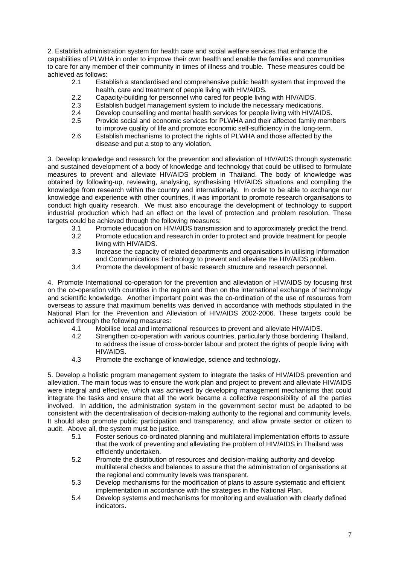2. Establish administration system for health care and social welfare services that enhance the capabilities of PLWHA in order to improve their own health and enable the families and communities to care for any member of their community in times of illness and trouble. These measures could be achieved as follows:

- 2.1 Establish a standardised and comprehensive public health system that improved the health, care and treatment of people living with HIV/AIDS.
- 2.2 Capacity-building for personnel who cared for people living with HIV/AIDS.
- 2.3 Establish budget management system to include the necessary medications.
- 2.4 Develop counselling and mental health services for people living with HIV/AIDS.<br>2.5 Provide social and economic services for PLWHA and their affected family mem
- Provide social and economic services for PLWHA and their affected family members to improve quality of life and promote economic self-sufficiency in the long-term.
- 2.6 Establish mechanisms to protect the rights of PLWHA and those affected by the disease and put a stop to any violation.

3. Develop knowledge and research for the prevention and alleviation of HIV/AIDS through systematic and sustained development of a body of knowledge and technology that could be utilised to formulate measures to prevent and alleviate HIV/AIDS problem in Thailand. The body of knowledge was obtained by following-up, reviewing, analysing, synthesising HIV/AIDS situations and compiling the knowledge from research within the country and internationally. In order to be able to exchange our knowledge and experience with other countries, it was important to promote research organisations to conduct high quality research. We must also encourage the development of technology to support industrial production which had an effect on the level of protection and problem resolution. These targets could be achieved through the following measures:

- 3.1 Promote education on HIV/AIDS transmission and to approximately predict the trend.<br>3.2 Promote education and research in order to protect and provide treatment for people
- Promote education and research in order to protect and provide treatment for people living with HIV/AIDS.
- 3.3 Increase the capacity of related departments and organisations in utilising Information and Communications Technology to prevent and alleviate the HIV/AIDS problem.
- 3.4 Promote the development of basic research structure and research personnel.

4. Promote International co-operation for the prevention and alleviation of HIV/AIDS by focusing first on the co-operation with countries in the region and then on the international exchange of technology and scientific knowledge. Another important point was the co-ordination of the use of resources from overseas to assure that maximum benefits was derived in accordance with methods stipulated in the National Plan for the Prevention and Alleviation of HIV/AIDS 2002-2006. These targets could be achieved through the following measures:

- 4.1 Mobilise local and international resources to prevent and alleviate HIV/AIDS.
- 4.2 Strengthen co-operation with various countries, particularly those bordering Thailand, to address the issue of cross-border labour and protect the rights of people living with HIV/AIDS.
- 4.3 Promote the exchange of knowledge, science and technology.

5. Develop a holistic program management system to integrate the tasks of HIV/AIDS prevention and alleviation. The main focus was to ensure the work plan and project to prevent and alleviate HIV/AIDS were integral and effective, which was achieved by developing management mechanisms that could integrate the tasks and ensure that all the work became a collective responsibility of all the parties involved. In addition, the administration system in the government sector must be adapted to be consistent with the decentralisation of decision-making authority to the regional and community levels. It should also promote public participation and transparency, and allow private sector or citizen to audit. Above all, the system must be justice.

- 5.1 Foster serious co-ordinated planning and multilateral implementation efforts to assure that the work of preventing and alleviating the problem of HIV/AIDS in Thailand was efficiently undertaken.
- 5.2 Promote the distribution of resources and decision-making authority and develop multilateral checks and balances to assure that the administration of organisations at the regional and community levels was transparent.
- 5.3 Develop mechanisms for the modification of plans to assure systematic and efficient implementation in accordance with the strategies in the National Plan.
- 5.4 Develop systems and mechanisms for monitoring and evaluation with clearly defined indicators.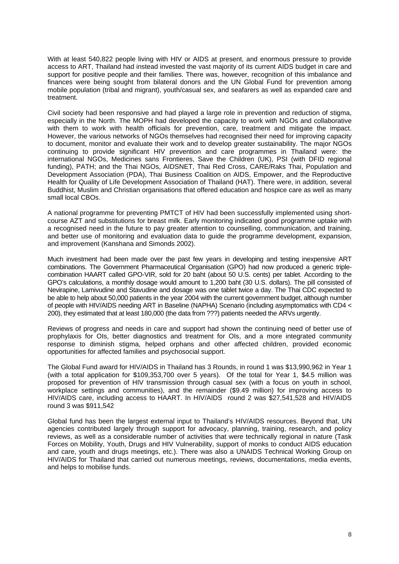With at least 540,822 people living with HIV or AIDS at present, and enormous pressure to provide access to ART, Thailand had instead invested the vast majority of its current AIDS budget in care and support for positive people and their families. There was, however, recognition of this imbalance and finances were being sought from bilateral donors and the UN Global Fund for prevention among mobile population (tribal and migrant), youth/casual sex, and seafarers as well as expanded care and treatment.

Civil society had been responsive and had played a large role in prevention and reduction of stigma, especially in the North. The MOPH had developed the capacity to work with NGOs and collaborative with them to work with health officials for prevention, care, treatment and mitigate the impact. However, the various networks of NGOs themselves had recognised their need for improving capacity to document, monitor and evaluate their work and to develop greater sustainability. The major NGOs continuing to provide significant HIV prevention and care programmes in Thailand were: the international NGOs, Medicines sans Frontieres, Save the Children (UK), PSI (with DFID regional funding), PATH; and the Thai NGOs, AIDSNET, Thai Red Cross, CARE/Raks Thai, Population and Development Association (PDA), Thai Business Coalition on AIDS, Empower, and the Reproductive Health for Quality of Life Development Association of Thailand (HAT). There were, in addition, several Buddhist, Muslim and Christian organisations that offered education and hospice care as well as many small local CBOs.

A national programme for preventing PMTCT of HIV had been successfully implemented using shortcourse AZT and substitutions for breast milk. Early monitoring indicated good programme uptake with a recognised need in the future to pay greater attention to counselling, communication, and training, and better use of monitoring and evaluation data to guide the programme development, expansion, and improvement (Kanshana and Simonds 2002).

Much investment had been made over the past few years in developing and testing inexpensive ART combinations. The Government Pharmaceutical Organisation (GPO) had now produced a generic triplecombination HAART called GPO-VIR, sold for 20 baht (about 50 U.S. cents) per tablet. According to the GPO's calculations, a monthly dosage would amount to 1,200 baht (30 U.S. dollars). The pill consisted of Nevirapine, Lamivudine and Stavudine and dosage was one tablet twice a day. The Thai CDC expected to be able to help about 50,000 patients in the year 2004 with the current government budget, although number of people with HIV/AIDS needing ART in Baseline (NAPHA) Scenario (including asymptomatics with CD4 < 200), they estimated that at least 180,000 (the data from ???) patients needed the ARVs urgently.

Reviews of progress and needs in care and support had shown the continuing need of better use of prophylaxis for OIs, better diagnostics and treatment for OIs, and a more integrated community response to diminish stigma, helped orphans and other affected children, provided economic opportunities for affected families and psychosocial support.

The Global Fund award for HIV/AIDS in Thailand has 3 Rounds, in round 1 was \$13,990,962 in Year 1 (with a total application for \$109,353,700 over 5 years). Of the total for Year 1, \$4.5 million was proposed for prevention of HIV transmission through casual sex (with a focus on youth in school, workplace settings and communities), and the remainder (\$9.49 million) for improving access to HIV/AIDS care, including access to HAART. In HIV/AIDS round 2 was \$27,541,528 and HIV/AIDS round 3 was \$911,542

Global fund has been the largest external input to Thailand's HIV/AIDS resources. Beyond that, UN agencies contributed largely through support for advocacy, planning, training, research, and policy reviews, as well as a considerable number of activities that were technically regional in nature (Task Forces on Mobility, Youth, Drugs and HIV Vulnerability, support of monks to conduct AIDS education and care, youth and drugs meetings, etc.). There was also a UNAIDS Technical Working Group on HIV/AIDS for Thailand that carried out numerous meetings, reviews, documentations, media events, and helps to mobilise funds.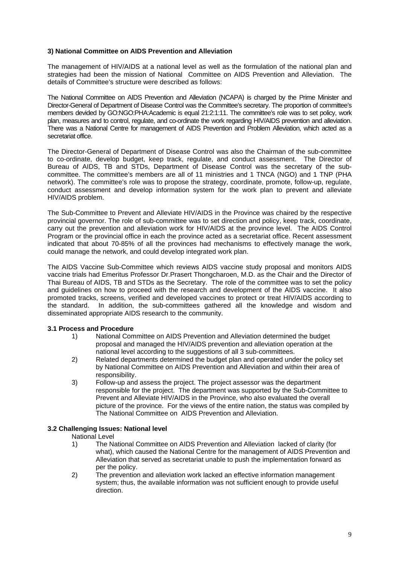#### **3) National Committee on AIDS Prevention and Alleviation**

The management of HIV/AIDS at a national level as well as the formulation of the national plan and strategies had been the mission of National Committee on AIDS Prevention and Alleviation. The details of Committee's structure were described as follows:

The National Committee on AIDS Prevention and Alleviation (NCAPA) is charged by the Prime Minister and Director-General of Department of Disease Control was the Committee's secretary. The proportion of committee's members devided by GO:NGO:PHA:Academic is equal 21:2:1:11. The committee's role was to set policy, work plan, measures and to control, regulate, and co-ordinate the work regarding HIV/AIDS prevention and alleviation. There was a National Centre for management of AIDS Prevention and Problem Alleviation, which acted as a secretariat office.

The Director-General of Department of Disease Control was also the Chairman of the sub-committee to co-ordinate, develop budget, keep track, regulate, and conduct assessment. The Director of Bureau of AIDS, TB and STDs, Department of Disease Control was the secretary of the subcommittee. The committee's members are all of 11 ministries and 1 TNCA (NGO) and 1 TNP (PHA network). The committee's role was to propose the strategy, coordinate, promote, follow-up, regulate, conduct assessment and develop information system for the work plan to prevent and alleviate HIV/AIDS problem.

The Sub-Committee to Prevent and Alleviate HIV/AIDS in the Province was chaired by the respective provincial governor. The role of sub-committee was to set direction and policy, keep track, coordinate, carry out the prevention and alleviation work for HIV/AIDS at the province level. The AIDS Control Program or the provincial office in each the province acted as a secretariat office. Recent assessment indicated that about 70-85% of all the provinces had mechanisms to effectively manage the work, could manage the network, and could develop integrated work plan.

The AIDS Vaccine Sub-Committee which reviews AIDS vaccine study proposal and monitors AIDS vaccine trials had Emeritus Professor Dr.Prasert Thongcharoen, M.D. as the Chair and the Director of Thai Bureau of AIDS, TB and STDs as the Secretary. The role of the committee was to set the policy and guidelines on how to proceed with the research and development of the AIDS vaccine. It also promoted tracks, screens, verified and developed vaccines to protect or treat HIV/AIDS according to the standard. In addition, the sub-committees gathered all the knowledge and wisdom and disseminated appropriate AIDS research to the community.

#### **3.1 Process and Procedure**

- 1) National Committee on AIDS Prevention and Alleviation determined the budget proposal and managed the HIV/AIDS prevention and alleviation operation at the national level according to the suggestions of all 3 sub-committees.
- 2) Related departments determined the budget plan and operated under the policy set by National Committee on AIDS Prevention and Alleviation and within their area of responsibility.
- 3) Follow-up and assess the project. The project assessor was the department responsible for the project. The department was supported by the Sub-Committee to Prevent and Alleviate HIV/AIDS in the Province, who also evaluated the overall picture of the province. For the views of the entire nation, the status was compiled by The National Committee on AIDS Prevention and Alleviation.

#### **3.2 Challenging Issues: National level**

National Level

- 1) The National Committee on AIDS Prevention and Alleviation lacked of clarity (for what), which caused the National Centre for the management of AIDS Prevention and Alleviation that served as secretariat unable to push the implementation forward as per the policy.
- 2) The prevention and alleviation work lacked an effective information management system; thus, the available information was not sufficient enough to provide useful direction.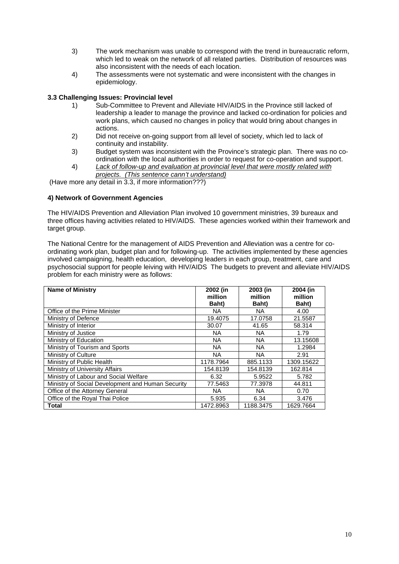- 3) The work mechanism was unable to correspond with the trend in bureaucratic reform, which led to weak on the network of all related parties. Distribution of resources was also inconsistent with the needs of each location.
- 4) The assessments were not systematic and were inconsistent with the changes in epidemiology.

#### **3.3 Challenging Issues: Provincial level**

- 1) Sub-Committee to Prevent and Alleviate HIV/AIDS in the Province still lacked of leadership a leader to manage the province and lacked co-ordination for policies and work plans, which caused no changes in policy that would bring about changes in actions.
- 2) Did not receive on-going support from all level of society, which led to lack of continuity and instability.
- 3) Budget system was inconsistent with the Province's strategic plan. There was no coordination with the local authorities in order to request for co-operation and support.
- 4) *Lack of follow-up and evaluation at provincial level that were mostly related with projects. (This sentence cann't understand)*

(Have more any detail in 3.3, if more information???)

#### **4) Network of Government Agencies**

The HIV/AIDS Prevention and Alleviation Plan involved 10 government ministries, 39 bureaux and three offices having activities related to HIV/AIDS. These agencies worked within their framework and target group.

The National Centre for the management of AIDS Prevention and Alleviation was a centre for coordinating work plan, budget plan and for following-up. The activities implemented by these agencies involved campaigning, health education, developing leaders in each group, treatment, care and psychosocial support for people leiving with HIV/AIDS The budgets to prevent and alleviate HIV/AIDS problem for each ministry were as follows:

| <b>Name of Ministry</b>                           | 2002 (in<br>million<br>Baht) | 2003 (in<br>million<br>Baht) | 2004 (in<br>million<br><b>Baht</b> ) |
|---------------------------------------------------|------------------------------|------------------------------|--------------------------------------|
| Office of the Prime Minister                      | NA.                          | NA.                          | 4.00                                 |
| Ministry of Defence                               | 19.4075                      | 17.0758                      | 21.5587                              |
| Ministry of Interior                              | 30.07                        | 41.65                        | 58.314                               |
| Ministry of Justice                               | <b>NA</b>                    | NA.                          | 1.79                                 |
| Ministry of Education                             | <b>NA</b>                    | NA.                          | 13.15608                             |
| Ministry of Tourism and Sports                    | <b>NA</b>                    | NA.                          | 1.2984                               |
| Ministry of Culture                               | <b>NA</b>                    | NA.                          | 2.91                                 |
| Ministry of Public Health                         | 1178.7964                    | 885.1133                     | 1309.15622                           |
| Ministry of University Affairs                    | 154.8139                     | 154.8139                     | 162.814                              |
| Ministry of Labour and Social Welfare             | 6.32                         | 5.9522                       | 5.782                                |
| Ministry of Social Development and Human Security | 77.5463                      | 77.3978                      | 44.811                               |
| Office of the Attorney General                    | <b>NA</b>                    | NA.                          | 0.70                                 |
| Office of the Royal Thai Police                   | 5.935                        | 6.34                         | 3.476                                |
| <b>Total</b>                                      | 1472.8963                    | 1188.3475                    | 1629.7664                            |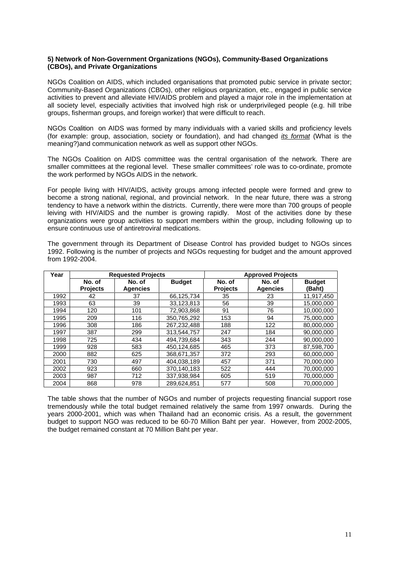#### **5) Network of Non-Government Organizations (NGOs), Community-Based Organizations (CBOs), and Private Organizations**

NGOs Coalition on AIDS, which included organisations that promoted pubic service in private sector; Community-Based Organizations (CBOs), other religious organization, etc., engaged in public service activities to prevent and alleviate HIV/AIDS problem and played a major role in the implementation at all society level, especially activities that involved high risk or underprivileged people (e.g. hill tribe groups, fisherman groups, and foreign worker) that were difficult to reach.

NGOs Coalition on AIDS was formed by many individuals with a varied skills and proficiency levels (for example: group, association, society or foundation), and had changed *its format* (What is the meaning?)and communication network as well as support other NGOs.

The NGOs Coalition on AIDS committee was the central organisation of the network. There are smaller committees at the regional level. These smaller committees' role was to co-ordinate, promote the work performed by NGOs AIDS in the network.

For people living with HIV/AIDS, activity groups among infected people were formed and grew to become a strong national, regional, and provincial network. In the near future, there was a strong tendency to have a network within the districts. Currently, there were more than 700 groups of people leiving with HIV/AIDS and the number is growing rapidly. Most of the activities done by these organizations were group activities to support members within the group, including following up to ensure continuous use of antiretroviral medications.

The government through its Department of Disease Control has provided budget to NGOs sinces 1992. Following is the number of projects and NGOs requesting for budget and the amount approved from 1992-2004.

| Year |                 | <b>Requested Projects</b> |               |                 | <b>Approved Projects</b> |               |
|------|-----------------|---------------------------|---------------|-----------------|--------------------------|---------------|
|      | No. of          | No. of                    | <b>Budget</b> | No. of          | No. of                   | <b>Budget</b> |
|      | <b>Projects</b> | <b>Agencies</b>           |               | <b>Projects</b> | <b>Agencies</b>          | (Baht)        |
| 1992 | 42              | 37                        | 66,125,734    | 35              | 23                       | 11,917,450    |
| 1993 | 63              | 39                        | 33,123,813    | 56              | 39                       | 15.000.000    |
| 1994 | 120             | 101                       | 72,903,868    | 91              | 76                       | 10,000,000    |
| 1995 | 209             | 116                       | 350.765.292   | 153             | 94                       | 75.000.000    |
| 1996 | 308             | 186                       | 267,232,488   | 188             | 122                      | 80,000,000    |
| 1997 | 387             | 299                       | 313.544.757   | 247             | 184                      | 90,000,000    |
| 1998 | 725             | 434                       | 494.739.684   | 343             | 244                      | 90.000.000    |
| 1999 | 928             | 583                       | 450.124.685   | 465             | 373                      | 87.598.700    |
| 2000 | 882             | 625                       | 368,671,357   | 372             | 293                      | 60,000,000    |
| 2001 | 730             | 497                       | 404.038.189   | 457             | 371                      | 70.000.000    |
| 2002 | 923             | 660                       | 370,140,183   | 522             | 444                      | 70.000.000    |
| 2003 | 987             | 712                       | 337,938,984   | 605             | 519                      | 70,000,000    |
| 2004 | 868             | 978                       | 289.624.851   | 577             | 508                      | 70.000.000    |

The table shows that the number of NGOs and number of projects requesting financial support rose tremendously while the total budget remained relatively the same from 1997 onwards. During the years 2000-2001, which was when Thailand had an economic crisis. As a result, the government budget to support NGO was reduced to be 60-70 Million Baht per year. However, from 2002-2005, the budget remained constant at 70 Million Baht per year.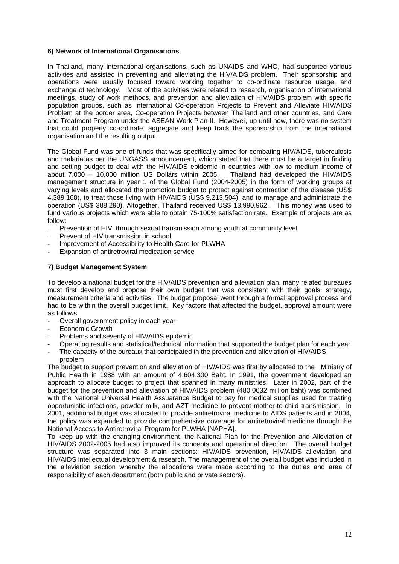#### **6) Network of International Organisations**

In Thailand, many international organisations, such as UNAIDS and WHO, had supported various activities and assisted in preventing and alleviating the HIV/AIDS problem. Their sponsorship and operations were usually focused toward working together to co-ordinate resource usage, and exchange of technology. Most of the activities were related to research, organisation of international meetings, study of work methods, and prevention and alleviation of HIV/AIDS problem with specific population groups, such as International Co-operation Projects to Prevent and Alleviate HIV/AIDS Problem at the border area, Co-operation Projects between Thailand and other countries, and Care and Treatment Program under the ASEAN Work Plan II. However, up until now, there was no system that could properly co-ordinate, aggregate and keep track the sponsorship from the international organisation and the resulting output.

The Global Fund was one of funds that was specifically aimed for combating HIV/AIDS, tuberculosis and malaria as per the UNGASS announcement, which stated that there must be a target in finding and setting budget to deal with the HIV/AIDS epidemic in countries with low to medium income of about 7,000 – 10,000 million US Dollars within 2005. Thailand had developed the HIV/AIDS management structure in year 1 of the Global Fund (2004-2005) in the form of working groups at varying levels and allocated the promotion budget to protect against contraction of the disease (US\$ 4,389,168), to treat those living with HIV/AIDS (US\$ 9,213,504), and to manage and administrate the operation (US\$ 388,290). Altogether, Thailand received US\$ 13,990,962. This money was used to fund various projects which were able to obtain 75-100% satisfaction rate. Example of projects are as follow:

- Prevention of HIV through sexual transmission among youth at community level
- Prevent of HIV transmission in school
- Improvement of Accessibility to Health Care for PLWHA
- Expansion of antiretroviral medication service

#### **7) Budget Management System**

To develop a national budget for the HIV/AIDS prevention and alleviation plan, many related bureaues must first develop and propose their own budget that was consistent with their goals, strategy, measurement criteria and activities. The budget proposal went through a formal approval process and had to be within the overall budget limit. Key factors that affected the budget, approval amount were as follows:

- Overall government policy in each year
- Economic Growth
- Problems and severity of HIV/AIDS epidemic
- Operating results and statistical/technical information that supported the budget plan for each year
- The capacity of the bureaux that participated in the prevention and alleviation of HIV/AIDS problem

The budget to support prevention and alleviation of HIV/AIDS was first by allocated to the Ministry of Public Health in 1988 with an amount of 4,604,300 Baht. In 1991, the government developed an approach to allocate budget to project that spanned in many ministries. Later in 2002, part of the budget for the prevention and alleviation of HIV/AIDS problem (480.0632 million baht) was combined with the National Universal Health Assuarance Budget to pay for medical supplies used for treating opportunistic infections, powder milk, and AZT medicine to prevent mother-to-child transmission. In 2001, additional budget was allocated to provide antiretroviral medicine to AIDS patients and in 2004, the policy was expanded to provide comprehensive coverage for antiretroviral medicine through the National Access to Antiretroviral Program for PLWHA [NAPHA].

To keep up with the changing environment, the National Plan for the Prevention and Alleviation of HIV/AIDS 2002-2005 had also improved its concepts and operational direction. The overall budget structure was separated into 3 main sections: HIV/AIDS prevention, HIV/AIDS alleviation and HIV/AIDS intellectual development & research. The management of the overall budget was included in the alleviation section whereby the allocations were made according to the duties and area of responsibility of each department (both public and private sectors).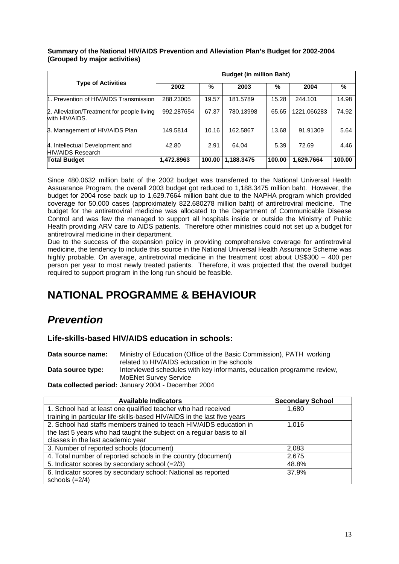#### **Summary of the National HIV/AIDS Prevention and Alleviation Plan's Budget for 2002-2004 (Grouped by major activities)**

|                                                              | <b>Budget (in million Baht)</b> |        |            |        |             |        |  |  |
|--------------------------------------------------------------|---------------------------------|--------|------------|--------|-------------|--------|--|--|
| <b>Type of Activities</b>                                    | 2002                            | %      | 2003       | %      | 2004        | %      |  |  |
| 1. Prevention of HIV/AIDS Transmission                       | 288.23005                       | 19.57  | 181.5789   | 15.28  | 244.101     | 14.98  |  |  |
| 2. Alleviation/Treatment for people living<br>with HIV/AIDS. | 992.287654                      | 67.37  | 780.13998  | 65.65  | 1221.066283 | 74.92  |  |  |
| 3. Management of HIV/AIDS Plan                               | 149.5814                        | 10.16  | 162.5867   | 13.68  | 91.91309    | 5.64   |  |  |
| 4. Intellectual Development and<br>HIV/AIDS Research         | 42.80                           | 2.91   | 64.04      | 5.39   | 72.69       | 4.46   |  |  |
| <b>Total Budget</b>                                          | 1,472.8963                      | 100.00 | 1,188.3475 | 100.00 | 1,629.7664  | 100.00 |  |  |

Since 480.0632 million baht of the 2002 budget was transferred to the National Universal Health Assuarance Program, the overall 2003 budget got reduced to 1,188.3475 million baht. However, the budget for 2004 rose back up to 1,629.7664 million baht due to the NAPHA program which provided coverage for 50,000 cases (approximately 822.680278 million baht) of antiretroviral medicine. The budget for the antiretroviral medicine was allocated to the Department of Communicable Disease Control and was few the managed to support all hospitals inside or outside the Ministry of Public Health providing ARV care to AIDS patients. Therefore other ministries could not set up a budget for antiretroviral medicine in their department.

Due to the success of the expansion policy in providing comprehensive coverage for antiretroviral medicine, the tendency to include this source in the National Universal Health Assurance Scheme was highly probable. On average, antiretroviral medicine in the treatment cost about US\$300 – 400 per person per year to most newly treated patients. Therefore, it was projected that the overall budget required to support program in the long run should be feasible.

# **NATIONAL PROGRAMME & BEHAVIOUR**

# *Prevention*

**Life-skills-based HIV/AIDS education in schools:**

**Data source name:** Ministry of Education (Office of the Basic Commission), PATH working related to HIV/AIDS education in the schools Data source type: lnterviewed schedules with key informants, education programme review, MoENet Survey Service **Data collected period:** January 2004 - December 2004

| <b>Available Indicators</b>                                              | <b>Secondary School</b> |
|--------------------------------------------------------------------------|-------------------------|
| 1. School had at least one qualified teacher who had received            | 1,680                   |
| training in particular life-skills-based HIV/AIDS in the last five years |                         |
| 2. School had staffs members trained to teach HIV/AIDS education in      | 1.016                   |
| the last 5 years who had taught the subject on a regular basis to all    |                         |
| classes in the last academic year                                        |                         |
| 3. Number of reported schools (document)                                 | 2,083                   |
| 4. Total number of reported schools in the country (document)            | 2,675                   |
| 5. Indicator scores by secondary school (=2/3)                           | 48.8%                   |
| 6. Indicator scores by secondary school: National as reported            | 37.9%                   |
| schools $(=2/4)$                                                         |                         |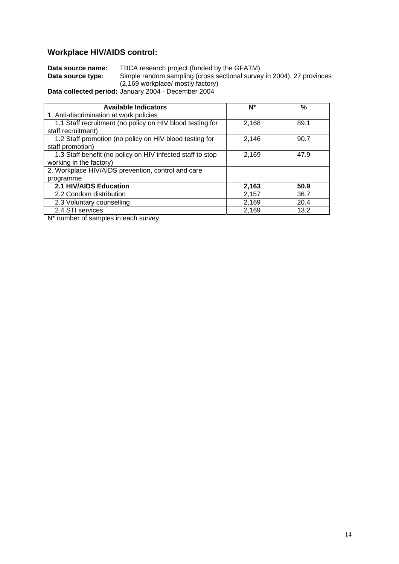# **Workplace HIV/AIDS control:**

| Data source name: | TBCA research project (funded by the GFATM)                           |
|-------------------|-----------------------------------------------------------------------|
| Data source type: | Simple random sampling (cross sectional survey in 2004), 27 provinces |
|                   | (2,169 workplace/ mostly factory)                                     |
|                   | Data collected period: January 2004 - December 2004                   |

**Data collected period:** January 2004 - December 2004

| <b>Available Indicators</b>                                | N*    | $\%$ |
|------------------------------------------------------------|-------|------|
| 1. Anti-discrimination at work policies                    |       |      |
| 1.1 Staff recruitment (no policy on HIV blood testing for  | 2,168 | 89.1 |
| staff recruitment)                                         |       |      |
| 1.2 Staff promotion (no policy on HIV blood testing for    | 2,146 | 90.7 |
| staff promotion)                                           |       |      |
| 1.3 Staff benefit (no policy on HIV infected staff to stop | 2,169 | 47.9 |
| working in the factory)                                    |       |      |
| 2. Workplace HIV/AIDS prevention, control and care         |       |      |
| programme                                                  |       |      |
| 2.1 HIV/AIDS Education                                     | 2,163 | 50.9 |
| 2.2 Condom distribution                                    | 2,157 | 36.7 |
| 2.3 Voluntary counselling                                  | 2,169 | 20.4 |
| 2.4 STI services                                           | 2,169 | 13.2 |
| .                                                          |       |      |

 $N^*$  number of samples in each survey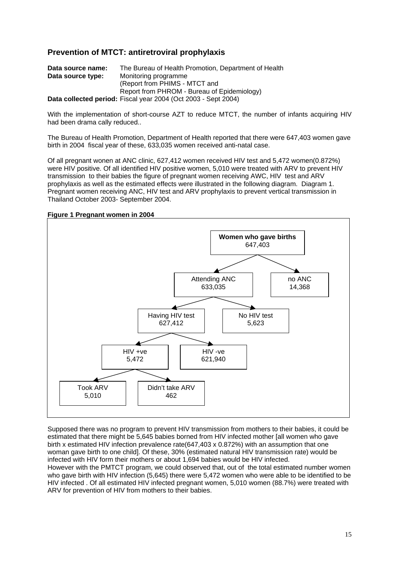#### **Prevention of MTCT: antiretroviral prophylaxis**

| Data source name: | The Bureau of Health Promotion, Department of Health           |
|-------------------|----------------------------------------------------------------|
| Data source type: | Monitoring programme                                           |
|                   | (Report from PHIMS - MTCT and                                  |
|                   | Report from PHROM - Bureau of Epidemiology)                    |
|                   | Data collected period: Fiscal year 2004 (Oct 2003 - Sept 2004) |

With the implementation of short-course AZT to reduce MTCT, the number of infants acquiring HIV had been drama cally reduced..

The Bureau of Health Promotion, Department of Health reported that there were 647,403 women gave birth in 2004 fiscal year of these, 633,035 women received anti-natal case.

Of all pregnant wonen at ANC clinic, 627,412 women received HIV test and 5,472 women(0.872%) were HIV positive. Of all identified HIV positive women, 5,010 were treated with ARV to prevent HIV transmission to their babies the figure of pregnant women receiving AWC, HIV test and ARV prophylaxis as well as the estimated effects were illustrated in the following diagram. Diagram 1. Pregnant women receiving ANC, HIV test and ARV prophylaxis to prevent vertical transmission in Thailand October 2003- September 2004.

#### **Figure 1 Pregnant women in 2004**



Supposed there was no program to prevent HIV transmission from mothers to their babies, it could be estimated that there might be 5,645 babies borned from HIV infected mother [all women who gave birth x estimated HIV infection prevalence rate(647,403 x 0.872%) with an assumption that one woman gave birth to one child]. Of these, 30% (estimated natural HIV transmission rate) would be infected with HIV form their mothers or about 1,694 babies would be HIV infected. However with the PMTCT program, we could observed that, out of the total estimated number women who gave birth with HIV infection (5,645) there were 5,472 women who were able to be identified to be HIV infected . Of all estimated HIV infected pregnant women, 5,010 women (88.7%) were treated with ARV for prevention of HIV from mothers to their babies.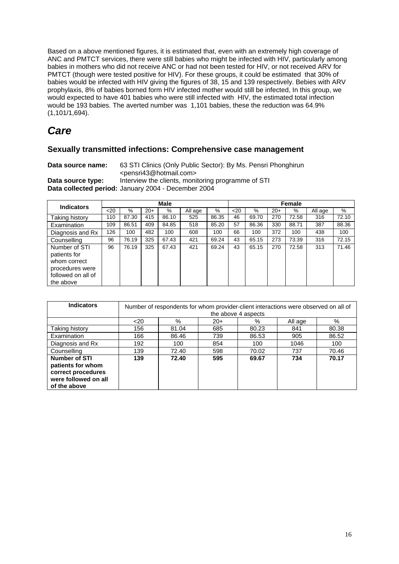Based on a above mentioned figures, it is estimated that, even with an extremely high coverage of ANC and PMTCT services, there were still babies who might be infected with HIV, particularly among babies in mothers who did not receive ANC or had not been tested for HIV, or not received ARV for PMTCT (though were tested positive for HIV). For these groups, it could be estimated that 30% of babies would be infected with HIV giving the figures of 38, 15 and 139 respectively. Bebies with ARV prophylaxis, 8% of babies borned form HIV infected mother would still be infected, In this group, we would expected to have 401 babies who were still infected with HIV, the estimated total infection would be 193 babies. The averted number was 1,101 babies, these the reduction was 64.9% (1,101/1,694).

# *Care*

#### **Sexually transmitted infections: Comprehensive case management**

**Data source name:** 63 STI Clinics (Only Public Sector): By Ms. Pensri Phonghirun <pensri43@hotmail.com> **Data source type:** Interview the clients, monitoring programme of STI

**Data collected period:** January 2004 - December 2004

| <b>Indicators</b>                                                                                   | <b>Male</b> |       |       |       |         | Female |      |       |       |       |         |       |
|-----------------------------------------------------------------------------------------------------|-------------|-------|-------|-------|---------|--------|------|-------|-------|-------|---------|-------|
|                                                                                                     | $20$        | %     | $20+$ | %     | All age | %      | $20$ | $\%$  | $20+$ | %     | All age | $\%$  |
| Taking history                                                                                      | 110         | 87.30 | 415   | 86.10 | 525     | 86.35  | 46   | 69.70 | 270   | 72.58 | 316     | 72.10 |
| Examination                                                                                         | 109         | 86.51 | 409   | 84.85 | 518     | 85.20  | 57   | 86.36 | 330   | 88.71 | 387     | 88.36 |
| Diagnosis and Rx                                                                                    | 126         | 100   | 482   | 100   | 608     | 100    | 66   | 100   | 372   | 100   | 438     | 100   |
| Counselling                                                                                         | 96          | 76.19 | 325   | 67.43 | 421     | 69.24  | 43   | 65.15 | 273   | 73.39 | 316     | 72.15 |
| Number of STI<br>patients for<br>whom correct<br>procedures were<br>followed on all of<br>the above | 96          | 76.19 | 325   | 67.43 | 421     | 69.24  | 43   | 65.15 | 270   | 72.58 | 313     | 71.46 |

| <b>Indicators</b>                                                                                       | Number of respondents for whom provider-client interactions were observed on all of<br>the above 4 aspects |       |       |       |         |       |  |  |
|---------------------------------------------------------------------------------------------------------|------------------------------------------------------------------------------------------------------------|-------|-------|-------|---------|-------|--|--|
|                                                                                                         | $20$                                                                                                       | %     | $20+$ | %     | All age | %     |  |  |
| Taking history                                                                                          | 156                                                                                                        | 81.04 | 685   | 80.23 | 841     | 80.38 |  |  |
| Examination                                                                                             | 166                                                                                                        | 86.46 | 739   | 86.53 | 905     | 86.52 |  |  |
| Diagnosis and Rx                                                                                        | 192                                                                                                        | 100   | 854   | 100   | 1046    | 100   |  |  |
| Counselling                                                                                             | 139                                                                                                        | 72.40 | 598   | 70.02 | 737     | 70.46 |  |  |
| <b>Number of STI</b><br>patients for whom<br>correct procedures<br>were followed on all<br>of the above | 139                                                                                                        | 72.40 | 595   | 69.67 | 734     | 70.17 |  |  |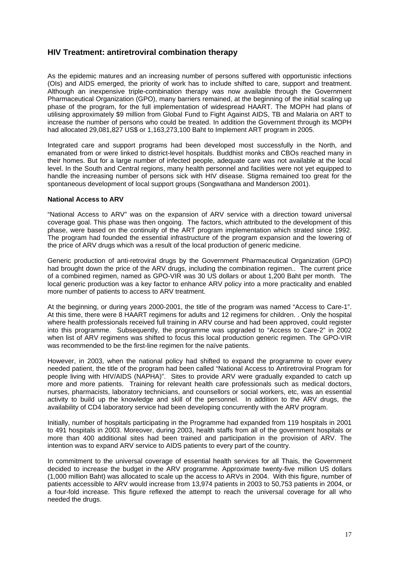#### **HIV Treatment: antiretroviral combination therapy**

As the epidemic matures and an increasing number of persons suffered with opportunistic infections (OIs) and AIDS emerged, the priority of work has to include shifted to care, support and treatment. Although an inexpensive triple-combination therapy was now available through the Government Pharmaceutical Organization (GPO), many barriers remained, at the beginning of the initial scaling up phase of the program, for the full implementation of widespread HAART. The MOPH had plans of utilising approximately \$9 million from Global Fund to Fight Against AIDS, TB and Malaria on ART to increase the number of persons who could be treated. In addition the Government through its MOPH had allocated 29,081,827 US\$ or 1,163,273,100 Baht to Implement ART program in 2005.

Integrated care and support programs had been developed most successfully in the North, and emanated from or were linked to district-level hospitals. Buddhist monks and CBOs reached many in their homes. But for a large number of infected people, adequate care was not available at the local level. In the South and Central regions, many health personnel and facilities were not yet equipped to handle the increasing number of persons sick with HIV disease. Stigma remained too great for the spontaneous development of local support groups (Songwathana and Manderson 2001).

#### **National Access to ARV**

"National Access to ARV" was on the expansion of ARV service with a direction toward universal coverage goal. This phase was then ongoing. The factors, which attributed to the development of this phase, were based on the continuity of the ART program implementation which strated since 1992. The program had founded the essential infrastructure of the program expansion and the lowering of the price of ARV drugs which was a result of the local production of generic medicine.

Generic production of anti-retroviral drugs by the Government Pharmaceutical Organization (GPO) had brought down the price of the ARV drugs, including the combination regimen.. The current price of a combined regimen, named as GPO-VIR was 30 US dollars or about 1,200 Baht per month. The local generic production was a key factor to enhance ARV policy into a more practicality and enabled more number of patients to access to ARV treatment.

At the beginning, or during years 2000-2001, the title of the program was named "Access to Care-1". At this time, there were 8 HAART regimens for adults and 12 regimens for children. . Only the hospital where health professionals received full training in ARV course and had been approved, could register into this programme. Subsequently, the programme was upgraded to "Access to Care-2" in 2002 when list of ARV regimens was shifted to focus this local production generic regimen. The GPO-VIR was recommended to be the first-line regimen for the naïve patients.

However, in 2003, when the national policy had shifted to expand the programme to cover every needed patient, the title of the program had been called "National Access to Antiretroviral Program for people living with HIV/AIDS (NAPHA)". Sites to provide ARV were gradually expanded to catch up more and more patients. Training for relevant health care professionals such as medical doctors, nurses, pharmacists, laboratory technicians, and counsellors or social workers, etc, was an essential activity to build up the knowledge and skill of the personnel. In addition to the ARV drugs, the availability of CD4 laboratory service had been developing concurrently with the ARV program.

Initially, number of hospitals participating in the Programme had expanded from 119 hospitals in 2001 to 491 hospitals in 2003. Moreover, during 2003, health staffs from all of the government hospitals or more than 400 additional sites had been trained and participation in the provision of ARV. The intention was to expand ARV service to AIDS patients to every part of the country.

In commitment to the universal coverage of essential health services for all Thais, the Government decided to increase the budget in the ARV programme. Approximate twenty-five million US dollars (1,000 million Baht) was allocated to scale up the access to ARVs in 2004. With this figure, number of patients accessible to ARV would increase from 13,974 patients in 2003 to 50,753 patients in 2004, or a four-fold increase. This figure reflexed the attempt to reach the universal coverage for all who needed the drugs.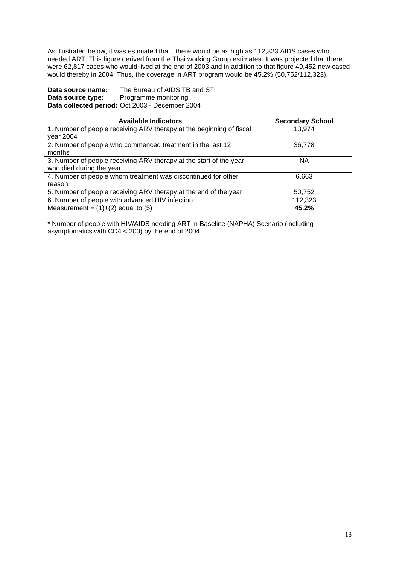As illustrated below, it was estimated that , there would be as high as 112,323 AIDS cases who needed ART. This figure derived from the Thai working Group estimates. It was projected that there were 62,817 cases who would lived at the end of 2003 and in addition to that figure 49,452 new cased would thereby in 2004. Thus, the coverage in ART program would be 45.2% (50,752/112,323).

**Data source name:** The Bureau of AIDS TB and STI **Data source type:** Programme monitoring **Data collected period:** Oct 2003 - December 2004

| <b>Available Indicators</b>                                          | <b>Secondary School</b> |
|----------------------------------------------------------------------|-------------------------|
| 1. Number of people receiving ARV therapy at the beginning of fiscal | 13.974                  |
| vear 2004                                                            |                         |
| 2. Number of people who commenced treatment in the last 12           | 36,778                  |
| months                                                               |                         |
| 3. Number of people receiving ARV therapy at the start of the year   | <b>NA</b>               |
| who died during the year                                             |                         |
| 4. Number of people whom treatment was discontinued for other        | 6,663                   |
| reason                                                               |                         |
| 5. Number of people receiving ARV therapy at the end of the year     | 50,752                  |
| 6. Number of people with advanced HIV infection                      | 112,323                 |
| Measurement = $(1)+(2)$ equal to $(5)$                               | 45.2%                   |

\* Number of people with HIV/AIDS needing ART in Baseline (NAPHA) Scenario (including asymptomatics with CD4 < 200) by the end of 2004.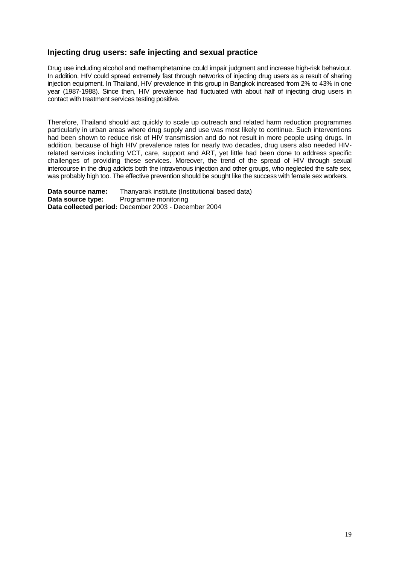#### **Injecting drug users: safe injecting and sexual practice**

Drug use including alcohol and methamphetamine could impair judgment and increase high-risk behaviour. In addition, HIV could spread extremely fast through networks of injecting drug users as a result of sharing injection equipment. In Thailand, HIV prevalence in this group in Bangkok increased from 2% to 43% in one year (1987-1988). Since then, HIV prevalence had fluctuated with about half of injecting drug users in contact with treatment services testing positive.

Therefore, Thailand should act quickly to scale up outreach and related harm reduction programmes particularly in urban areas where drug supply and use was most likely to continue. Such interventions had been shown to reduce risk of HIV transmission and do not result in more people using drugs. In addition, because of high HIV prevalence rates for nearly two decades, drug users also needed HIVrelated services including VCT, care, support and ART, yet little had been done to address specific challenges of providing these services. Moreover, the trend of the spread of HIV through sexual intercourse in the drug addicts both the intravenous injection and other groups, who neglected the safe sex, was probably high too. The effective prevention should be sought like the success with female sex workers.

**Data source name:** Thanyarak institute (Institutional based data) **Data source type:** Programme monitoring **Data collected period:** December 2003 - December 2004